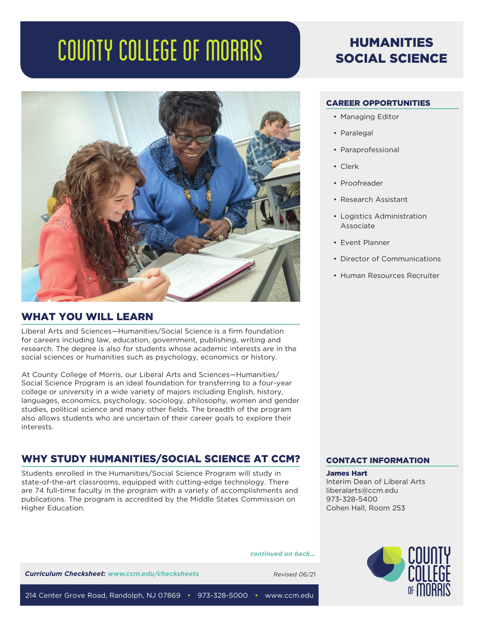# COUNTY COLLEGE OF MORRIS



# WHAT YOU WILL LEARN

Liberal Arts and Sciences—Humanities/Social Science is a firm foundation for careers including law, education, government, publishing, writing and research. The degree is also for students whose academic interests are in the social sciences or humanities such as psychology, economics or history.

At County College of Morris, our Liberal Arts and Sciences—Humanities/ Social Science Program is an ideal foundation for transferring to a four-year college or university in a wide variety of majors including English, history, languages, economics, psychology, sociology, philosophy, women and gender studies, political science and many other fields. The breadth of the program also allows students who are uncertain of their career goals to explore their interests.

# WHY STUDY HUMANITIES/SOCIAL SCIENCE AT CCM?

Students enrolled in the Humanities/Social Science Program will study in state-of-the-art classrooms, equipped with cutting-edge technology. There are 74 full-time faculty in the program with a variety of accomplishments and publications. The program is accredited by the Middle States Commission on Higher Education.

# HUMANITIES SOCIAL SCIENCE

# CAREER OPPORTUNITIES

- Managing Editor
- Paralegal
- Paraprofessional
- Clerk
- Proofreader
- Research Assistant
- Logistics Administration Associate
- Event Planner
- Director of Communications
- Human Resources Recruiter

# CONTACT INFORMATION

James Hart Interim Dean of Liberal Arts liberalarts@ccm.edu 973-328-5400 Cohen Hall, Room 253

*continued on back...*

**Curriculum Checksheet: www.ccm.edu/checksheets** Revised 06/21



214 Center Grove Road, Randolph, NJ 07869 • 973-328-5000 • www.ccm.edu